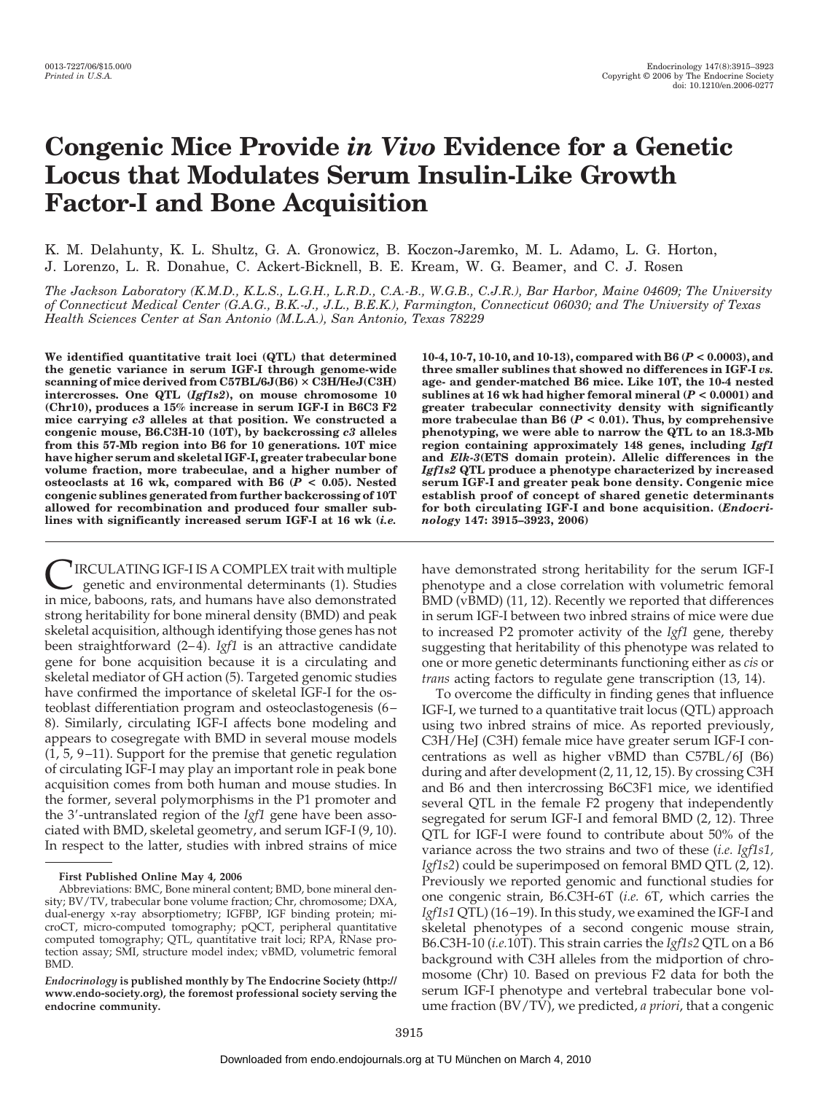# **Congenic Mice Provide** *in Vivo* **Evidence for a Genetic Locus that Modulates Serum Insulin-Like Growth Factor-I and Bone Acquisition**

K. M. Delahunty, K. L. Shultz, G. A. Gronowicz, B. Koczon-Jaremko, M. L. Adamo, L. G. Horton, J. Lorenzo, L. R. Donahue, C. Ackert-Bicknell, B. E. Kream, W. G. Beamer, and C. J. Rosen

*The Jackson Laboratory (K.M.D., K.L.S., L.G.H., L.R.D., C.A.-B., W.G.B., C.J.R.), Bar Harbor, Maine 04609; The University of Connecticut Medical Center (G.A.G., B.K.-J., J.L., B.E.K.), Farmington, Connecticut 06030; and The University of Texas Health Sciences Center at San Antonio (M.L.A.), San Antonio, Texas 78229*

**We identified quantitative trait loci (QTL) that determined the genetic variance in serum IGF-I through genome-wide scanning of mice derived from C57BL/6J(B6) C3H/HeJ(C3H) intercrosses. One QTL (***Igf1s2***), on mouse chromosome 10 (Chr10), produces a 15% increase in serum IGF-I in B6C3 F2 mice carrying** *c3* **alleles at that position. We constructed a congenic mouse, B6.C3H-10 (10T), by backcrossing** *c3* **alleles from this 57-Mb region into B6 for 10 generations. 10T mice have higher serum and skeletal IGF-I, greater trabecular bone volume fraction, more trabeculae, and a higher number of osteoclasts at 16 wk, compared with B6 (***P* **< 0.05). Nested congenic sublines generated from further backcrossing of 10T allowed for recombination and produced four smaller sublines with significantly increased serum IGF-I at 16 wk (***i.e.*

CIRCULATING IGF-I IS A COMPLEX trait with multiple genetic and environmental determinants (1). Studies in mice, baboons, rats, and humans have also demonstrated strong heritability for bone mineral density (BMD) and peak skeletal acquisition, although identifying those genes has not been straightforward (2–4). *Igf1* is an attractive candidate gene for bone acquisition because it is a circulating and skeletal mediator of GH action (5). Targeted genomic studies have confirmed the importance of skeletal IGF-I for the osteoblast differentiation program and osteoclastogenesis (6 – 8). Similarly, circulating IGF-I affects bone modeling and appears to cosegregate with BMD in several mouse models  $(1, 5, 9-11)$ . Support for the premise that genetic regulation of circulating IGF-I may play an important role in peak bone acquisition comes from both human and mouse studies. In the former, several polymorphisms in the P1 promoter and the 3'-untranslated region of the *Igf1* gene have been associated with BMD, skeletal geometry, and serum IGF-I (9, 10). In respect to the latter, studies with inbred strains of mice

**First Published Online May 4, 2006**

**10-4, 10-7, 10-10, and 10-13), compared with B6 (***P* **< 0.0003), and three smaller sublines that showed no differences in IGF-I** *vs.* **age- and gender-matched B6 mice. Like 10T, the 10-4 nested sublines at 16 wk had higher femoral mineral (***P* **< 0.0001) and greater trabecular connectivity density with significantly more trabeculae than B6 (***P* **< 0.01). Thus, by comprehensive phenotyping, we were able to narrow the QTL to an 18.3-Mb region containing approximately 148 genes, including** *Igf1* **and** *Elk-3***(ETS domain protein). Allelic differences in the** *Igf1s2* **QTL produce a phenotype characterized by increased serum IGF-I and greater peak bone density. Congenic mice establish proof of concept of shared genetic determinants for both circulating IGF-I and bone acquisition. (***Endocrinology* **147: 3915–3923, 2006)**

have demonstrated strong heritability for the serum IGF-I phenotype and a close correlation with volumetric femoral BMD (vBMD) (11, 12). Recently we reported that differences in serum IGF-I between two inbred strains of mice were due to increased P2 promoter activity of the *Igf1* gene, thereby suggesting that heritability of this phenotype was related to one or more genetic determinants functioning either as *cis* or *trans* acting factors to regulate gene transcription (13, 14).

To overcome the difficulty in finding genes that influence IGF-I, we turned to a quantitative trait locus (QTL) approach using two inbred strains of mice. As reported previously, C3H/HeJ (C3H) female mice have greater serum IGF-I concentrations as well as higher vBMD than C57BL/6J (B6) during and after development (2, 11, 12, 15). By crossing C3H and B6 and then intercrossing B6C3F1 mice, we identified several QTL in the female F2 progeny that independently segregated for serum IGF-I and femoral BMD (2, 12). Three QTL for IGF-I were found to contribute about 50% of the variance across the two strains and two of these (*i.e. Igf1s1, Igf1s2*) could be superimposed on femoral BMD QTL (2, 12). Previously we reported genomic and functional studies for one congenic strain, B6.C3H-6T (*i.e.* 6T, which carries the *Igf1s1* QTL) (16 –19). In this study, we examined the IGF-I and skeletal phenotypes of a second congenic mouse strain, B6.C3H-10 (*i.e.*10T). This strain carries the *Igf1s2* QTL on a B6 background with C3H alleles from the midportion of chromosome (Chr) 10. Based on previous F2 data for both the serum IGF-I phenotype and vertebral trabecular bone volume fraction (BV/TV), we predicted, *a priori*, that a congenic

Abbreviations: BMC, Bone mineral content; BMD, bone mineral density; BV/TV, trabecular bone volume fraction; Chr, chromosome; DXA, dual-energy x-ray absorptiometry; IGFBP, IGF binding protein; microCT, micro-computed tomography; pQCT, peripheral quantitative computed tomography; QTL, quantitative trait loci; RPA, RNase protection assay; SMI, structure model index; vBMD, volumetric femoral BMD.

*Endocrinology* **is published monthly by The Endocrine Society (http:// www.endo-society.org), the foremost professional society serving the endocrine community.**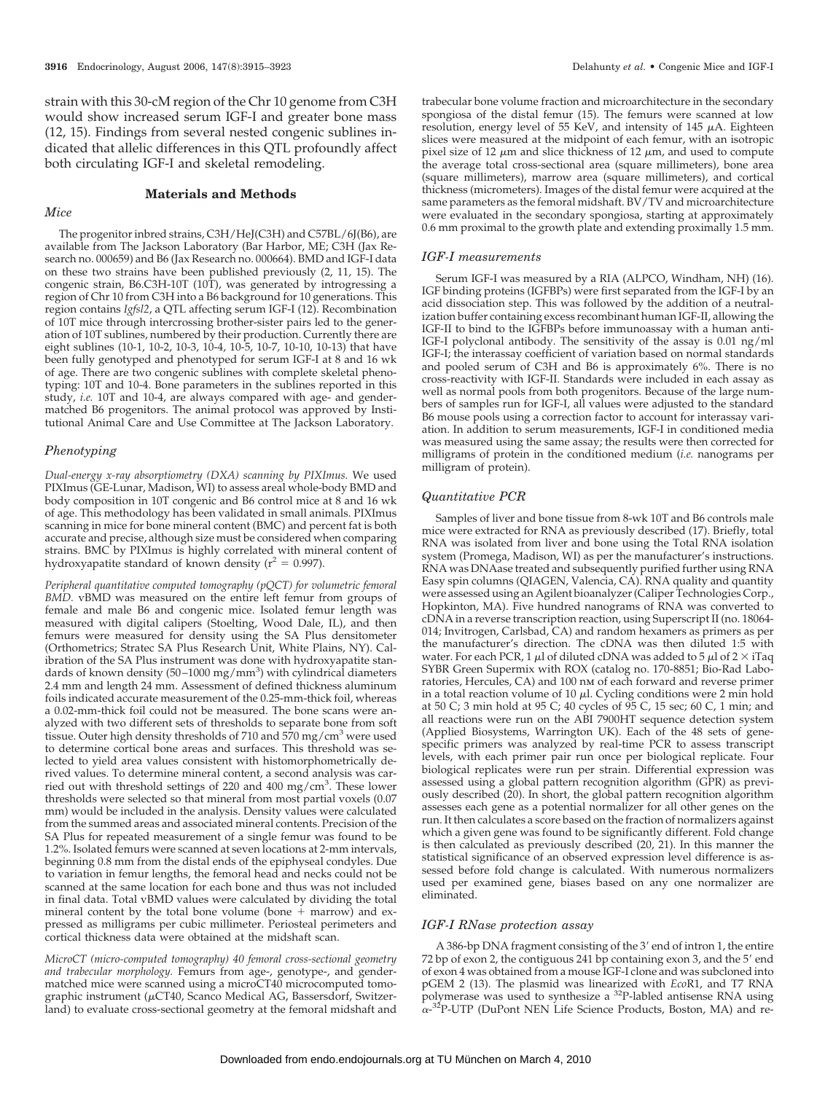strain with this 30-cM region of the Chr 10 genome from C3H would show increased serum IGF-I and greater bone mass (12, 15). Findings from several nested congenic sublines indicated that allelic differences in this QTL profoundly affect both circulating IGF-I and skeletal remodeling.

# **Materials and Methods**

#### *Mice*

The progenitor inbred strains, C3H/HeJ(C3H) and C57BL/6J(B6), are available from The Jackson Laboratory (Bar Harbor, ME; C3H (Jax Research no. 000659) and B6 (Jax Research no. 000664). BMD and IGF-I data on these two strains have been published previously (2, 11, 15). The congenic strain, B6.C3H-10T (10T), was generated by introgressing a region of Chr 10 from C3H into a B6 background for 10 generations. This region contains *Igfsl2*, a QTL affecting serum IGF-I (12). Recombination of 10T mice through intercrossing brother-sister pairs led to the generation of 10T sublines, numbered by their production. Currently there are eight sublines (10-1, 10-2, 10-3, 10-4, 10-5, 10-7, 10-10, 10-13) that have been fully genotyped and phenotyped for serum IGF-I at 8 and 16 wk of age. There are two congenic sublines with complete skeletal phenotyping: 10T and 10-4. Bone parameters in the sublines reported in this study, *i.e.* 10T and 10-4, are always compared with age- and gendermatched B6 progenitors. The animal protocol was approved by Institutional Animal Care and Use Committee at The Jackson Laboratory.

## *Phenotyping*

*Dual-energy x-ray absorptiometry (DXA) scanning by PIXImus.* We used PIXImus (GE-Lunar, Madison, WI) to assess areal whole-body BMD and body composition in 10T congenic and B6 control mice at 8 and 16 wk of age. This methodology has been validated in small animals. PIXImus scanning in mice for bone mineral content (BMC) and percent fat is both accurate and precise, although size must be considered when comparing strains. BMC by PIXImu*s* is highly correlated with mineral content of hydroxyapatite standard of known density ( $r^2 = 0.997$ ).

*Peripheral quantitative computed tomography (pQCT) for volumetric femoral BMD.* vBMD was measured on the entire left femur from groups of female and male B6 and congenic mice. Isolated femur length was measured with digital calipers (Stoelting, Wood Dale, IL), and then femurs were measured for density using the SA Plus densitometer (Orthometrics; Stratec SA Plus Research Unit, White Plains, NY). Calibration of the SA Plus instrument was done with hydroxyapatite standards of known density (50-1000 mg/mm<sup>3</sup>) with cylindrical diameters 2.4 mm and length 24 mm. Assessment of defined thickness aluminum foils indicated accurate measurement of the 0.25-mm-thick foil, whereas a 0.02-mm-thick foil could not be measured. The bone scans were analyzed with two different sets of thresholds to separate bone from soft tissue. Outer high density thresholds of 710 and 570 mg/cm<sup>3</sup> were used to determine cortical bone areas and surfaces. This threshold was selected to yield area values consistent with histomorphometrically derived values. To determine mineral content, a second analysis was carried out with threshold settings of 220 and 400 mg/cm<sup>3</sup>. These lower thresholds were selected so that mineral from most partial voxels (0.07 mm) would be included in the analysis. Density values were calculated from the summed areas and associated mineral contents. Precision of the SA Plus for repeated measurement of a single femur was found to be 1.2%. Isolated femurs were scanned at seven locations at 2-mm intervals, beginning 0.8 mm from the distal ends of the epiphyseal condyles. Due to variation in femur lengths, the femoral head and necks could not be scanned at the same location for each bone and thus was not included in final data. Total vBMD values were calculated by dividing the total mineral content by the total bone volume (bone  $+$  marrow) and expressed as milligrams per cubic millimeter. Periosteal perimeters and cortical thickness data were obtained at the midshaft scan.

*MicroCT (micro-computed tomography) 40 femoral cross-sectional geometry and trabecular morphology.* Femurs from age-, genotype-, and gendermatched mice were scanned using a microCT40 microcomputed tomographic instrument ( $\mu$ CT40, Scanco Medical AG, Bassersdorf, Switzerland) to evaluate cross-sectional geometry at the femoral midshaft and

trabecular bone volume fraction and microarchitecture in the secondary spongiosa of the distal femur (15). The femurs were scanned at low resolution, energy level of 55 KeV, and intensity of 145  $\mu$ A. Eighteen slices were measured at the midpoint of each femur, with an isotropic pixel size of 12  $\mu$ m and slice thickness of 12  $\mu$ m, and used to compute the average total cross-sectional area (square millimeters), bone area (square millimeters), marrow area (square millimeters), and cortical thickness (micrometers). Images of the distal femur were acquired at the same parameters as the femoral midshaft. BV/TV and microarchitecture were evaluated in the secondary spongiosa, starting at approximately 0.6 mm proximal to the growth plate and extending proximally 1.5 mm.

#### *IGF-I measurements*

Serum IGF-I was measured by a RIA (ALPCO, Windham, NH) (16). IGF binding proteins (IGFBPs) were first separated from the IGF-I by an acid dissociation step. This was followed by the addition of a neutralization buffer containing excess recombinant human IGF-II, allowing the IGF-II to bind to the IGFBPs before immunoassay with a human anti-IGF-I polyclonal antibody. The sensitivity of the assay is 0.01 ng/ml IGF-I; the interassay coefficient of variation based on normal standards and pooled serum of C3H and B6 is approximately 6%. There is no cross-reactivity with IGF-II. Standards were included in each assay as well as normal pools from both progenitors. Because of the large numbers of samples run for IGF-I, all values were adjusted to the standard B6 mouse pools using a correction factor to account for interassay variation. In addition to serum measurements, IGF-I in conditioned media was measured using the same assay; the results were then corrected for milligrams of protein in the conditioned medium (*i.e.* nanograms per milligram of protein).

#### *Quantitative PCR*

Samples of liver and bone tissue from 8-wk 10T and B6 controls male mice were extracted for RNA as previously described (17). Briefly, total RNA was isolated from liver and bone using the Total RNA isolation system (Promega, Madison, WI) as per the manufacturer's instructions. RNA was DNAase treated and subsequently purified further using RNA Easy spin columns (QIAGEN, Valencia, CA). RNA quality and quantity were assessed using an Agilent bioanalyzer (Caliper Technologies Corp., Hopkinton, MA). Five hundred nanograms of RNA was converted to cDNA in a reverse transcription reaction, using Superscript II (no. 18064- 014; Invitrogen, Carlsbad, CA) and random hexamers as primers as per the manufacturer's direction. The cDNA was then diluted 1:5 with water. For each PCR, 1  $\mu$ l of diluted cDNA was added to 5  $\mu$ l of 2  $\times$  iTaq SYBR Green Supermix with ROX (catalog no. 170-8851; Bio-Rad Laboratories, Hercules, CA) and 100 nm of each forward and reverse primer in a total reaction volume of 10  $\mu$ l. Cycling conditions were 2 min hold at 50 C; 3 min hold at 95 C; 40 cycles of 95 C, 15 sec; 60 C, 1 min; and all reactions were run on the ABI 7900HT sequence detection system (Applied Biosystems, Warrington UK). Each of the 48 sets of genespecific primers was analyzed by real-time PCR to assess transcript levels, with each primer pair run once per biological replicate. Four biological replicates were run per strain. Differential expression was assessed using a global pattern recognition algorithm (GPR) as previously described (20). In short, the global pattern recognition algorithm assesses each gene as a potential normalizer for all other genes on the run. It then calculates a score based on the fraction of normalizers against which a given gene was found to be significantly different. Fold change is then calculated as previously described (20, 21). In this manner the statistical significance of an observed expression level difference is assessed before fold change is calculated. With numerous normalizers used per examined gene, biases based on any one normalizer are eliminated.

#### *IGF-I RNase protection assay*

A 386-bp DNA fragment consisting of the 3' end of intron 1, the entire 72 bp of exon 2, the contiguous 241 bp containing exon 3, and the 5' end of exon 4 was obtained from a mouse IGF-I clone and was subcloned into pGEM 2 (13). The plasmid was linearized with *Eco*R1, and T7 RNA polymerase was used to synthesize a 32P-labled antisense RNA using  $\alpha$ <sup>-32</sup>P-UTP (DuPont NEN Life Science Products, Boston, MA) and re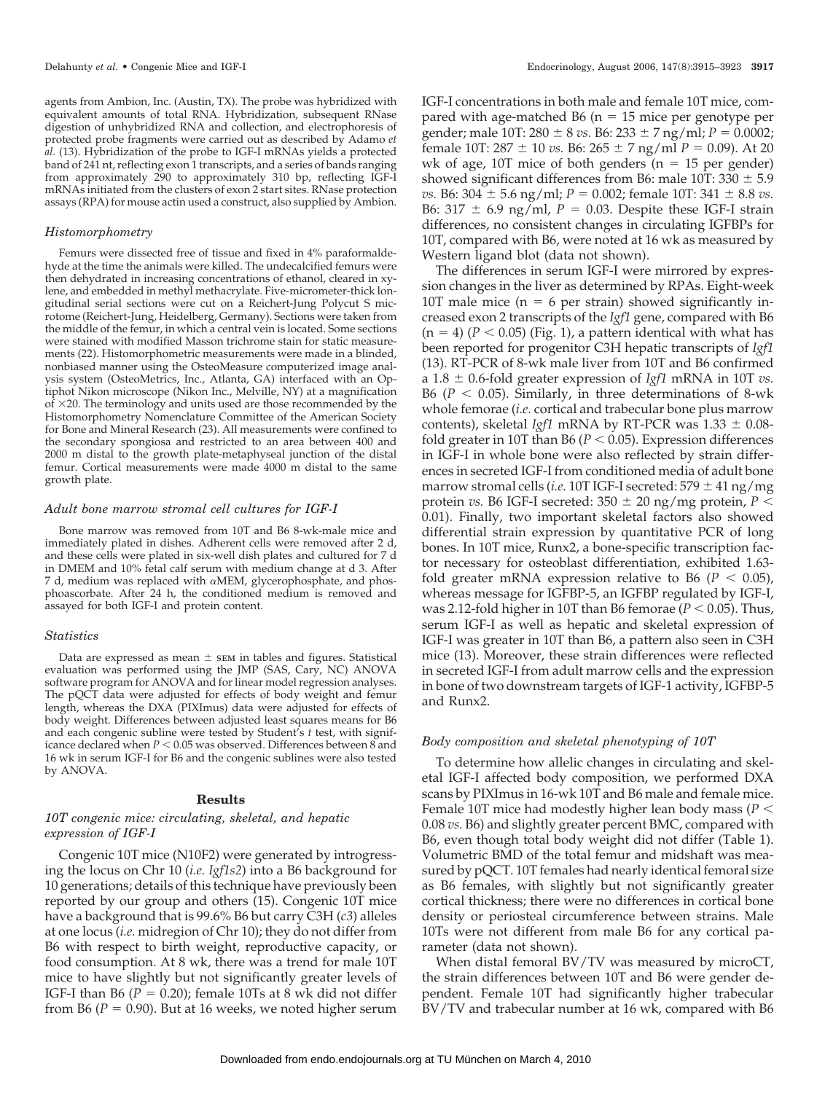agents from Ambion, Inc. (Austin, TX). The probe was hybridized with equivalent amounts of total RNA. Hybridization, subsequent RNase digestion of unhybridized RNA and collection, and electrophoresis of protected probe fragments were carried out as described by Adamo *et al.* (13). Hybridization of the probe to IGF-I mRNAs yields a protected band of 241 nt, reflecting exon 1 transcripts, and a series of bands ranging from approximately 290 to approximately 310 bp, reflecting IGF-I mRNAs initiated from the clusters of exon 2 start sites. RNase protection assays (RPA) for mouse actin used a construct, also supplied by Ambion.

#### *Histomorphometry*

Femurs were dissected free of tissue and fixed in 4% paraformaldehyde at the time the animals were killed. The undecalcified femurs were then dehydrated in increasing concentrations of ethanol, cleared in xylene, and embedded in methyl methacrylate. Five-micrometer-thick longitudinal serial sections were cut on a Reichert-Jung Polycut S microtome (Reichert-Jung, Heidelberg, Germany). Sections were taken from the middle of the femur, in which a central vein is located. Some sections were stained with modified Masson trichrome stain for static measurements (22). Histomorphometric measurements were made in a blinded, nonbiased manner using the OsteoMeasure computerized image analysis system (OsteoMetrics, Inc., Atlanta, GA) interfaced with an Optiphot Nikon microscope (Nikon Inc., Melville, NY) at a magnification  $\vec{p}$   $\times$  20. The terminology and units used are those recommended by the Histomorphometry Nomenclature Committee of the American Society for Bone and Mineral Research (23). All measurements were confined to the secondary spongiosa and restricted to an area between 400 and 2000 m distal to the growth plate-metaphyseal junction of the distal femur. Cortical measurements were made 4000 m distal to the same growth plate.

#### *Adult bone marrow stromal cell cultures for IGF-I*

Bone marrow was removed from 10T and B6 8-wk-male mice and immediately plated in dishes. Adherent cells were removed after 2 d, and these cells were plated in six-well dish plates and cultured for 7 d in DMEM and 10% fetal calf serum with medium change at d 3. After 7 d, medium was replaced with  $\alpha$ MEM, glycerophosphate, and phosphoascorbate. After 24 h, the conditioned medium is removed and assayed for both IGF-I and protein content.

#### *Statistics*

Data are expressed as mean  $\pm$  sem in tables and figures. Statistical evaluation was performed using the JMP (SAS, Cary, NC) ANOVA software program for ANOVA and for linear model regression analyses. The pQCT data were adjusted for effects of body weight and femur length, whereas the DXA (PIXImus) data were adjusted for effects of body weight. Differences between adjusted least squares means for B6 and each congenic subline were tested by Student's *t* test, with significance declared when  $P < 0.05$  was observed. Differences between 8 and 16 wk in serum IGF-I for B6 and the congenic sublines were also tested by ANOVA.

#### **Results**

# *10T congenic mice: circulating, skeletal, and hepatic expression of IGF-I*

Congenic 10T mice (N10F2) were generated by introgressing the locus on Chr 10 (*i.e. Igf1s2*) into a B6 background for 10 generations; details of this technique have previously been reported by our group and others (15). Congenic 10T mice have a background that is 99.6% B6 but carry C3H (*c3*) alleles at one locus (*i.e.* midregion of Chr 10); they do not differ from B6 with respect to birth weight, reproductive capacity, or food consumption. At 8 wk, there was a trend for male 10T mice to have slightly but not significantly greater levels of IGF-I than B6  $(P = 0.20)$ ; female 10Ts at 8 wk did not differ from B6 ( $P = 0.90$ ). But at 16 weeks, we noted higher serum

IGF-I concentrations in both male and female 10T mice, compared with age-matched  $B6$  (n = 15 mice per genotype per gender; male 10T: 280  $\pm$  8 *vs*. B6: 233  $\pm$  7 ng/ml; *P* = 0.0002; female 10T: 287  $\pm$  10 *vs.* B6: 265  $\pm$  7 ng/ml *P* = 0.09). At 20 wk of age,  $10T$  mice of both genders ( $n = 15$  per gender) showed significant differences from B6: male  $10T: 330 \pm 5.9$ *vs.* B6: 304  $\pm$  5.6 ng/ml;  $P = 0.002$ ; female 10T: 341  $\pm$  8.8 *vs.* B6:  $317 \pm 6.9$  ng/ml,  $P = 0.03$ . Despite these IGF-I strain differences, no consistent changes in circulating IGFBPs for 10T, compared with B6, were noted at 16 wk as measured by Western ligand blot (data not shown).

The differences in serum IGF-I were mirrored by expression changes in the liver as determined by RPAs. Eight-week 10T male mice ( $n = 6$  per strain) showed significantly increased exon 2 transcripts of the *Igf1* gene, compared with B6  $(n = 4)$   $(P < 0.05)$  (Fig. 1), a pattern identical with what has been reported for progenitor C3H hepatic transcripts of *Igf1* (13). RT-PCR of 8-wk male liver from 10T and B6 confirmed a  $1.8 \pm 0.6$ -fold greater expression of *Igf1* mRNA in 10T *vs.* B6 ( $P < 0.05$ ). Similarly, in three determinations of 8-wk whole femorae (*i.e.* cortical and trabecular bone plus marrow contents), skeletal *Igf1* mRNA by RT-PCR was  $1.33 \pm 0.08$ fold greater in 10T than B6 ( $P < 0.05$ ). Expression differences in IGF-I in whole bone were also reflected by strain differences in secreted IGF-I from conditioned media of adult bone marrow stromal cells (*i.e.* 10T IGF-I secreted:  $579 \pm 41$  ng/mg protein *vs.* B6 IGF-I secreted:  $350 \pm 20$  ng/mg protein,  $P <$ 0.01). Finally, two important skeletal factors also showed differential strain expression by quantitative PCR of long bones. In 10T mice, Runx2, a bone-specific transcription factor necessary for osteoblast differentiation, exhibited 1.63 fold greater mRNA expression relative to B6 ( $P < 0.05$ ), whereas message for IGFBP-5, an IGFBP regulated by IGF-I, was 2.12-fold higher in 10T than B6 femorae ( $P < 0.05$ ). Thus, serum IGF-I as well as hepatic and skeletal expression of IGF-I was greater in 10T than B6, a pattern also seen in C3H mice (13). Moreover, these strain differences were reflected in secreted IGF-I from adult marrow cells and the expression in bone of two downstream targets of IGF-1 activity, IGFBP-5 and Runx2.

### *Body composition and skeletal phenotyping of 10T*

To determine how allelic changes in circulating and skeletal IGF-I affected body composition, we performed DXA scans by PIXImus in 16-wk 10T and B6 male and female mice. Female 10T mice had modestly higher lean body mass (*P* 0.08 *vs.* B6) and slightly greater percent BMC, compared with B6, even though total body weight did not differ (Table 1). Volumetric BMD of the total femur and midshaft was measured by pQCT. 10T females had nearly identical femoral size as B6 females, with slightly but not significantly greater cortical thickness; there were no differences in cortical bone density or periosteal circumference between strains. Male 10Ts were not different from male B6 for any cortical parameter (data not shown).

When distal femoral BV/TV was measured by microCT, the strain differences between 10T and B6 were gender dependent. Female 10T had significantly higher trabecular BV/TV and trabecular number at 16 wk, compared with B6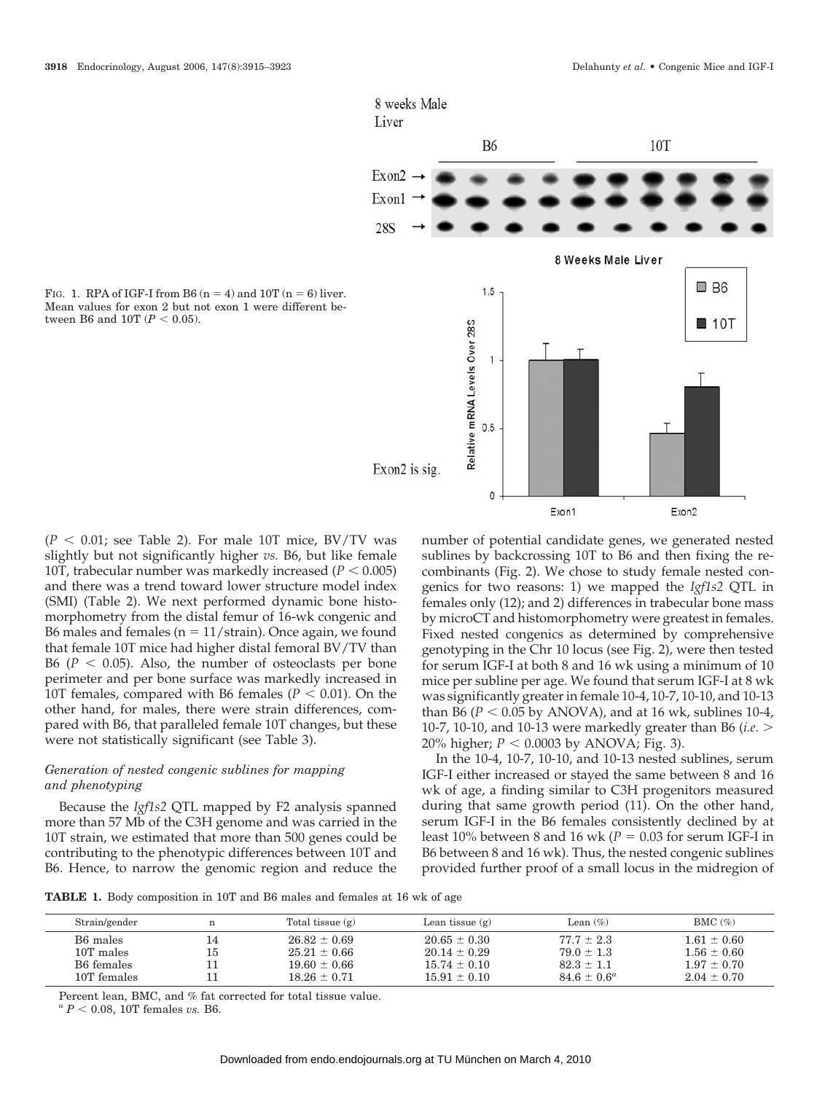

FIG. 1. RPA of IGF-I from B6  $(n = 4)$  and 10T  $(n = 6)$  liver. Mean values for exon 2 but not exon 1 were different between B6 and 10T ( $P < 0.05$ ).

 $(P < 0.01$ ; see Table 2). For male 10T mice, BV/TV was slightly but not significantly higher *vs.* B6, but like female 10T, trabecular number was markedly increased  $(P < 0.005)$ and there was a trend toward lower structure model index (SMI) (Table 2). We next performed dynamic bone histomorphometry from the distal femur of 16-wk congenic and B6 males and females ( $n = 11/\text{strain}$ ). Once again, we found that female 10T mice had higher distal femoral BV/TV than B6 ( $P < 0.05$ ). Also, the number of osteoclasts per bone perimeter and per bone surface was markedly increased in 10T females, compared with B6 females ( $P < 0.01$ ). On the other hand, for males, there were strain differences, compared with B6, that paralleled female 10T changes, but these were not statistically significant (see Table 3).

# *Generation of nested congenic sublines for mapping and phenotyping*

Because the *Igf1s2* QTL mapped by F2 analysis spanned more than 57 Mb of the C3H genome and was carried in the 10T strain, we estimated that more than 500 genes could be contributing to the phenotypic differences between 10T and B6. Hence, to narrow the genomic region and reduce the number of potential candidate genes, we generated nested sublines by backcrossing 10T to B6 and then fixing the recombinants (Fig. 2). We chose to study female nested congenics for two reasons: 1) we mapped the *Igf1s2* QTL in females only (12); and 2) differences in trabecular bone mass by microCT and histomorphometry were greatest in females. Fixed nested congenics as determined by comprehensive genotyping in the Chr 10 locus (see Fig. 2), were then tested for serum IGF-I at both 8 and 16 wk using a minimum of 10 mice per subline per age. We found that serum IGF-I at 8 wk was significantly greater in female 10-4, 10-7, 10-10, and 10-13 than B6 ( $P < 0.05$  by ANOVA), and at 16 wk, sublines 10-4, 10-7, 10-10, and 10-13 were markedly greater than B6 (*i.e.* 20% higher;  $P < 0.0003$  by ANOVA; Fig. 3).

In the 10-4, 10-7, 10-10, and 10-13 nested sublines, serum IGF-I either increased or stayed the same between 8 and 16 wk of age, a finding similar to C3H progenitors measured during that same growth period (11). On the other hand, serum IGF-I in the B6 females consistently declined by at least  $10\%$  between  $8$  and  $16$  wk ( $P = 0.03$  for serum IGF-I in B6 between 8 and 16 wk). Thus, the nested congenic sublines provided further proof of a small locus in the midregion of

**TABLE 1.** Body composition in 10T and B6 males and females at 16 wk of age

| Strain/gender        |    | Total tissue $(g)$ | Lean tissue $(g)$ | Lean $(\%)$      | BMC $(\%)$      |
|----------------------|----|--------------------|-------------------|------------------|-----------------|
| B <sub>6</sub> males | 15 | $26.82 \pm 0.69$   | $20.65 \pm 0.30$  | $77.7 \pm 2.3$   | $1.61 \pm 0.60$ |
| 10T males            |    | $25.21 \pm 0.66$   | $20.14 + 0.29$    | $79.0 \pm 1.3$   | $1.56 \pm 0.60$ |
| B6 females           |    | $19.60 \pm 0.66$   | $15.74 \pm 0.10$  | $82.3 \pm 1.1$   | $1.97 + 0.70$   |
| 10T females          |    | $18.26 \pm 0.71$   | $15.91 + 0.10$    | $84.6 \pm 0.6^a$ | $2.04 \pm 0.70$ |

Percent lean, BMC, and % fat corrected for total tissue value.

 $a^a P < 0.08$ , 10T females *vs.* B6.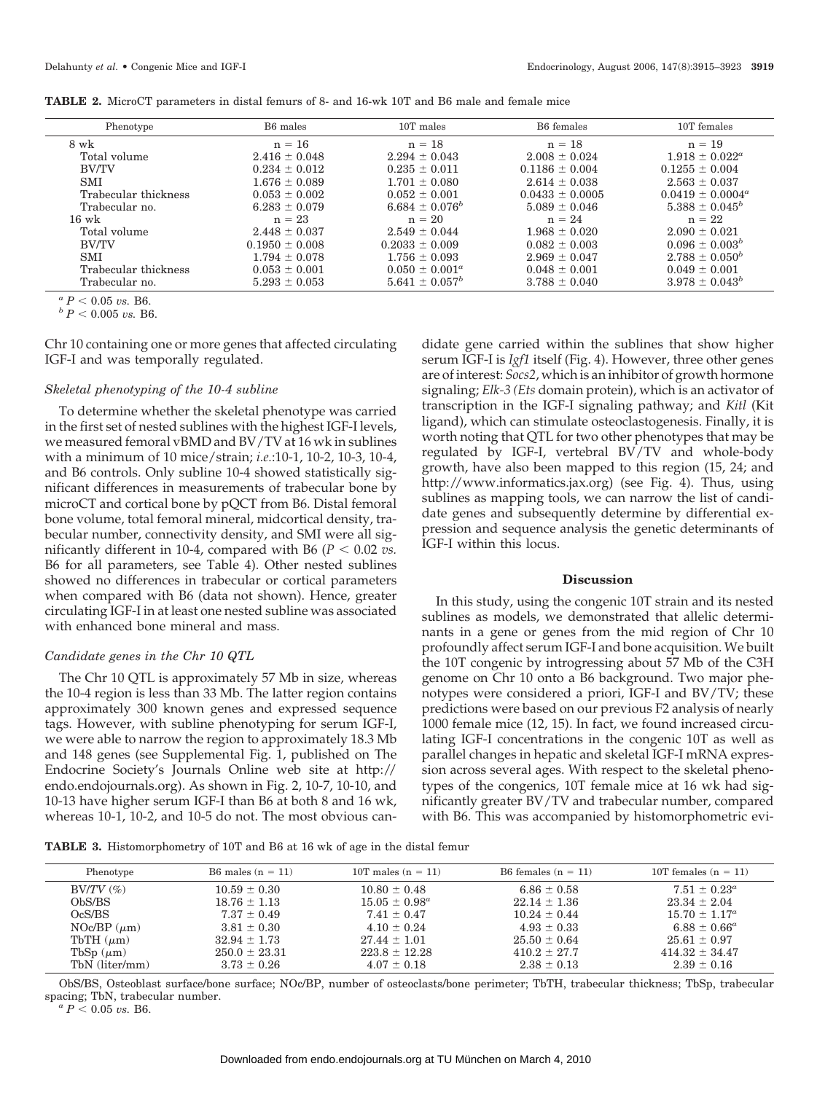| <b>TABLE 2.</b> MicroCT parameters in distal femurs of 8- and 16-wk 10T and B6 male and female mice |
|-----------------------------------------------------------------------------------------------------|
|-----------------------------------------------------------------------------------------------------|

| Phenotype            | B6 males           | 10T males                 | B6 females          | 10T females           |
|----------------------|--------------------|---------------------------|---------------------|-----------------------|
| 8 wk                 | $n = 16$           | $n = 18$                  | $n = 18$            | $n = 19$              |
| Total volume         | $2.416 \pm 0.048$  | $2.294 \pm 0.043$         | $2.008 \pm 0.024$   | $1.918 \pm 0.022^a$   |
| <b>BV/TV</b>         | $0.234 \pm 0.012$  | $0.235 \pm 0.011$         | $0.1186 \pm 0.004$  | $0.1255 \pm 0.004$    |
| <b>SMI</b>           | $1.676 \pm 0.089$  | $1.701 \pm 0.080$         | $2.614 \pm 0.038$   | $2.563 \pm 0.037$     |
| Trabecular thickness | $0.053 \pm 0.002$  | $0.052 \pm 0.001$         | $0.0433 \pm 0.0005$ | $0.0419 \pm 0.0004^a$ |
| Trabecular no.       | $6.283 \pm 0.079$  | $6.684 \pm 0.076^b$       | $5.089 \pm 0.046$   | $5.388 \pm 0.045^b$   |
| $16 \text{ wk}$      | $n = 23$           | $n = 20$                  | $n = 24$            | $n = 22$              |
| Total volume         | $2.448 \pm 0.037$  | $2.549 \pm 0.044$         | $1.968 \pm 0.020$   | $2.090 \pm 0.021$     |
| <b>BV/TV</b>         | $0.1950 \pm 0.008$ | $0.2033 \pm 0.009$        | $0.082 \pm 0.003$   | $0.096 \pm 0.003^b$   |
| <b>SMI</b>           | $1.794 \pm 0.078$  | $1.756 \pm 0.093$         | $2.969 \pm 0.047$   | $2.788 \pm 0.050^b$   |
| Trabecular thickness | $0.053 \pm 0.001$  | $0.050 \pm 0.001^{\circ}$ | $0.048 \pm 0.001$   | $0.049 \pm 0.001$     |
| Trabecular no.       | $5.293 \pm 0.053$  | $5.641 \pm 0.057^b$       | $3.788 \pm 0.040$   | $3.978 \pm 0.043^b$   |

 $\frac{a}{b}P < 0.05$  *vs.* B6.<br> $\frac{b}{c}P < 0.005$  *vs.* B6.

Chr 10 containing one or more genes that affected circulating IGF-I and was temporally regulated.

### *Skeletal phenotyping of the 10-4 subline*

To determine whether the skeletal phenotype was carried in the first set of nested sublines with the highest IGF-I levels, we measured femoral vBMD and BV/TV at 16 wk in sublines with a minimum of 10 mice/strain; *i.e.*:10-1, 10-2, 10-3, 10-4, and B6 controls. Only subline 10-4 showed statistically significant differences in measurements of trabecular bone by microCT and cortical bone by pQCT from B6. Distal femoral bone volume, total femoral mineral, midcortical density, trabecular number, connectivity density, and SMI were all significantly different in 10-4, compared with B6 ( $P < 0.02$  *vs.* B6 for all parameters, see Table 4). Other nested sublines showed no differences in trabecular or cortical parameters when compared with B6 (data not shown). Hence, greater circulating IGF-I in at least one nested subline was associated with enhanced bone mineral and mass.

#### *Candidate genes in the Chr 10 QTL*

The Chr 10 QTL is approximately 57 Mb in size, whereas the 10-4 region is less than 33 Mb. The latter region contains approximately 300 known genes and expressed sequence tags. However, with subline phenotyping for serum IGF-I, we were able to narrow the region to approximately 18.3 Mb and 148 genes (see Supplemental Fig. 1, published on The Endocrine Society's Journals Online web site at http:// endo.endojournals.org). As shown in Fig. 2, 10-7, 10-10, and 10-13 have higher serum IGF-I than B6 at both 8 and 16 wk, whereas 10-1, 10-2, and 10-5 do not. The most obvious candidate gene carried within the sublines that show higher serum IGF-I is *Igf1* itself (Fig. 4). However, three other genes are of interest: *Socs2*, which is an inhibitor of growth hormone signaling; *Elk-3 (Ets* domain protein), which is an activator of transcription in the IGF-I signaling pathway; and *Kitl* (Kit ligand), which can stimulate osteoclastogenesis. Finally, it is worth noting that QTL for two other phenotypes that may be regulated by IGF-I, vertebral BV/TV and whole-body growth, have also been mapped to this region (15, 24; and http://www.informatics.jax.org) (see Fig. 4). Thus, using sublines as mapping tools, we can narrow the list of candidate genes and subsequently determine by differential expression and sequence analysis the genetic determinants of IGF-I within this locus.

### **Discussion**

In this study, using the congenic 10T strain and its nested sublines as models, we demonstrated that allelic determinants in a gene or genes from the mid region of Chr 10 profoundly affect serum IGF-I and bone acquisition. We built the 10T congenic by introgressing about 57 Mb of the C3H genome on Chr 10 onto a B6 background. Two major phenotypes were considered a priori, IGF-I and BV/TV; these predictions were based on our previous F2 analysis of nearly 1000 female mice (12, 15). In fact, we found increased circulating IGF-I concentrations in the congenic 10T as well as parallel changes in hepatic and skeletal IGF-I mRNA expression across several ages. With respect to the skeletal phenotypes of the congenics, 10T female mice at 16 wk had significantly greater BV/TV and trabecular number, compared with B6. This was accompanied by histomorphometric evi-

**TABLE 3.** Histomorphometry of 10T and B6 at 16 wk of age in the distal femur

| B6 females $(n = 11)$<br>10T males $(n = 11)$<br>10T females $(n = 11)$<br>B6 males $(n = 11)$<br>Phenotype<br>$7.51 \pm 0.23^{\circ}$<br>$BV/TV$ $(\%)$<br>$10.59 \pm 0.30$<br>$10.80 \pm 0.48$<br>$6.86 \pm 0.58$<br>ObS/BS<br>$15.05 \pm 0.98^a$<br>$22.14 \pm 1.36$<br>$23.34 \pm 2.04$<br>$18.76 \pm 1.13$<br>OcS/BS<br>$7.37 \pm 0.49$<br>$7.41 \pm 0.47$<br>$15.70 \pm 1.17^a$<br>$10.24 \pm 0.44$<br>NOc/BP $(\mu m)$<br>$3.81 \pm 0.30$<br>$4.93 \pm 0.33$<br>$6.88 \pm 0.66^a$<br>$4.10 \pm 0.24$<br>$25.50 \pm 0.64$<br>$32.94 \pm 1.73$<br>$27.44 \pm 1.01$<br>$25.61 \pm 0.97$<br>TbTH $(\mu m)$<br>TbSp $(\mu m)$<br>$250.0 \pm 23.31$<br>$223.8 \pm 12.28$<br>$414.32 \pm 34.47$<br>$410.2 \pm 27.7$<br>TbN (liter/mm)<br>$2.38 \pm 0.13$<br>$3.73 \pm 0.26$<br>$2.39 \pm 0.16$<br>$4.07 \pm 0.18$ |  |  |  |
|-------------------------------------------------------------------------------------------------------------------------------------------------------------------------------------------------------------------------------------------------------------------------------------------------------------------------------------------------------------------------------------------------------------------------------------------------------------------------------------------------------------------------------------------------------------------------------------------------------------------------------------------------------------------------------------------------------------------------------------------------------------------------------------------------------------------|--|--|--|
|                                                                                                                                                                                                                                                                                                                                                                                                                                                                                                                                                                                                                                                                                                                                                                                                                   |  |  |  |
|                                                                                                                                                                                                                                                                                                                                                                                                                                                                                                                                                                                                                                                                                                                                                                                                                   |  |  |  |
|                                                                                                                                                                                                                                                                                                                                                                                                                                                                                                                                                                                                                                                                                                                                                                                                                   |  |  |  |
|                                                                                                                                                                                                                                                                                                                                                                                                                                                                                                                                                                                                                                                                                                                                                                                                                   |  |  |  |
|                                                                                                                                                                                                                                                                                                                                                                                                                                                                                                                                                                                                                                                                                                                                                                                                                   |  |  |  |
|                                                                                                                                                                                                                                                                                                                                                                                                                                                                                                                                                                                                                                                                                                                                                                                                                   |  |  |  |
|                                                                                                                                                                                                                                                                                                                                                                                                                                                                                                                                                                                                                                                                                                                                                                                                                   |  |  |  |

ObS/BS, Osteoblast surface/bone surface; NOc/BP, number of osteoclasts/bone perimeter; TbTH, trabecular thickness; TbSp, trabecular spacing; TbN, trabecular number.<br> ${}^a P < 0.05 \text{ vs. } B6.$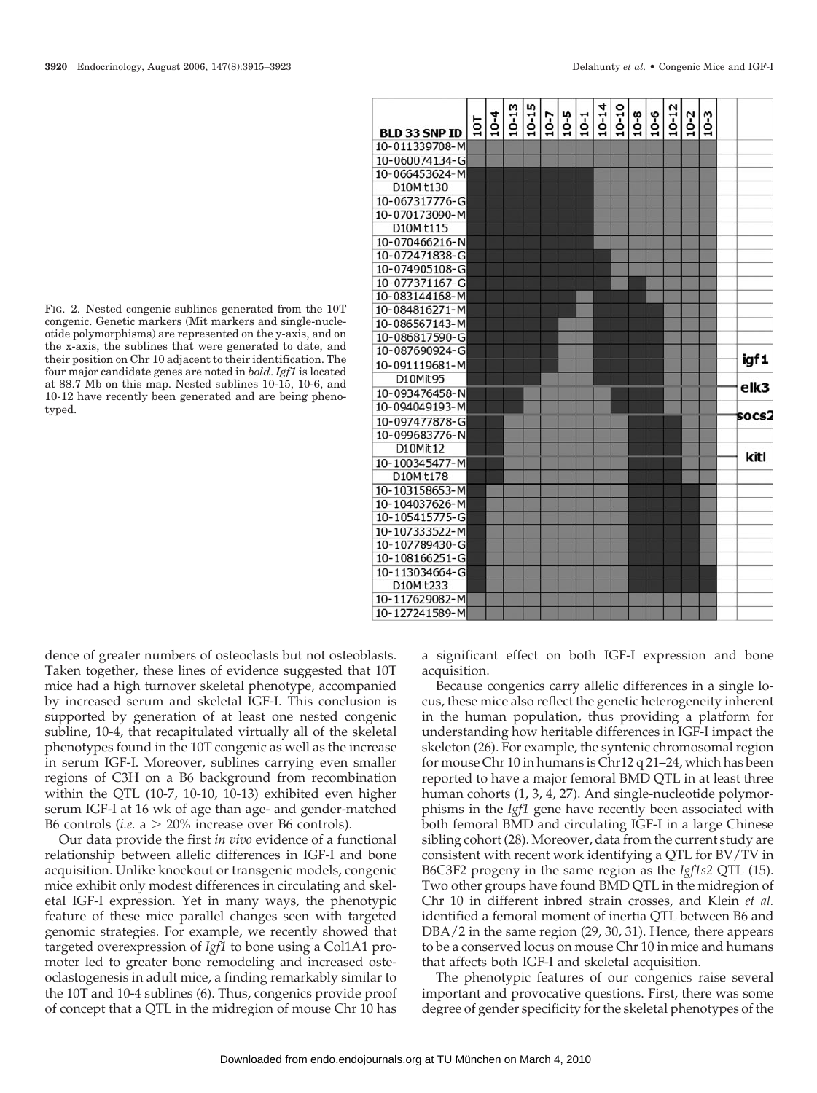FIG. 2. Nested congenic sublines generated from the 10T congenic. Genetic markers (Mit markers and single-nucleotide polymorphisms) are represented on the y-axis, and on the x-axis, the sublines that were generated to date, and

their position on Chr 10 adjacent to their identification. The four major candidate genes are noted in *bold*. *Igf1* is located at 88.7 Mb on this map. Nested sublines 10-15, 10-6, and 10-12 have recently been generated and are being phenotyped.

dence of greater numbers of osteoclasts but not osteoblasts. Taken together, these lines of evidence suggested that 10T mice had a high turnover skeletal phenotype, accompanied by increased serum and skeletal IGF-I. This conclusion is supported by generation of at least one nested congenic subline, 10-4, that recapitulated virtually all of the skeletal phenotypes found in the 10T congenic as well as the increase in serum IGF-I. Moreover, sublines carrying even smaller regions of C3H on a B6 background from recombination within the QTL (10-7, 10-10, 10-13) exhibited even higher serum IGF-I at 16 wk of age than age- and gender-matched B6 controls (*i.e.*  $a > 20\%$  increase over B6 controls).

Our data provide the first *in vivo* evidence of a functional relationship between allelic differences in IGF-I and bone acquisition. Unlike knockout or transgenic models, congenic mice exhibit only modest differences in circulating and skeletal IGF-I expression. Yet in many ways, the phenotypic feature of these mice parallel changes seen with targeted genomic strategies. For example, we recently showed that targeted overexpression of *Igf1* to bone using a Col1A1 promoter led to greater bone remodeling and increased osteoclastogenesis in adult mice, a finding remarkably similar to the 10T and 10-4 sublines (6). Thus, congenics provide proof of concept that a QTL in the midregion of mouse Chr 10 has a significant effect on both IGF-I expression and bone acquisition.

Because congenics carry allelic differences in a single locus, these mice also reflect the genetic heterogeneity inherent in the human population, thus providing a platform for understanding how heritable differences in IGF-I impact the skeleton (26). For example, the syntenic chromosomal region for mouse Chr 10 in humans is Chr12 q 21–24, which has been reported to have a major femoral BMD QTL in at least three human cohorts (1, 3, 4, 27). And single-nucleotide polymorphisms in the *Igf1* gene have recently been associated with both femoral BMD and circulating IGF-I in a large Chinese sibling cohort (28). Moreover, data from the current study are consistent with recent work identifying a QTL for BV/TV in B6C3F2 progeny in the same region as the *Igf1s2* QTL (15). Two other groups have found BMD QTL in the midregion of Chr 10 in different inbred strain crosses, and Klein *et al.* identified a femoral moment of inertia QTL between B6 and DBA/2 in the same region (29, 30, 31). Hence, there appears to be a conserved locus on mouse Chr 10 in mice and humans that affects both IGF-I and skeletal acquisition.

The phenotypic features of our congenics raise several important and provocative questions. First, there was some degree of gender specificity for the skeletal phenotypes of the

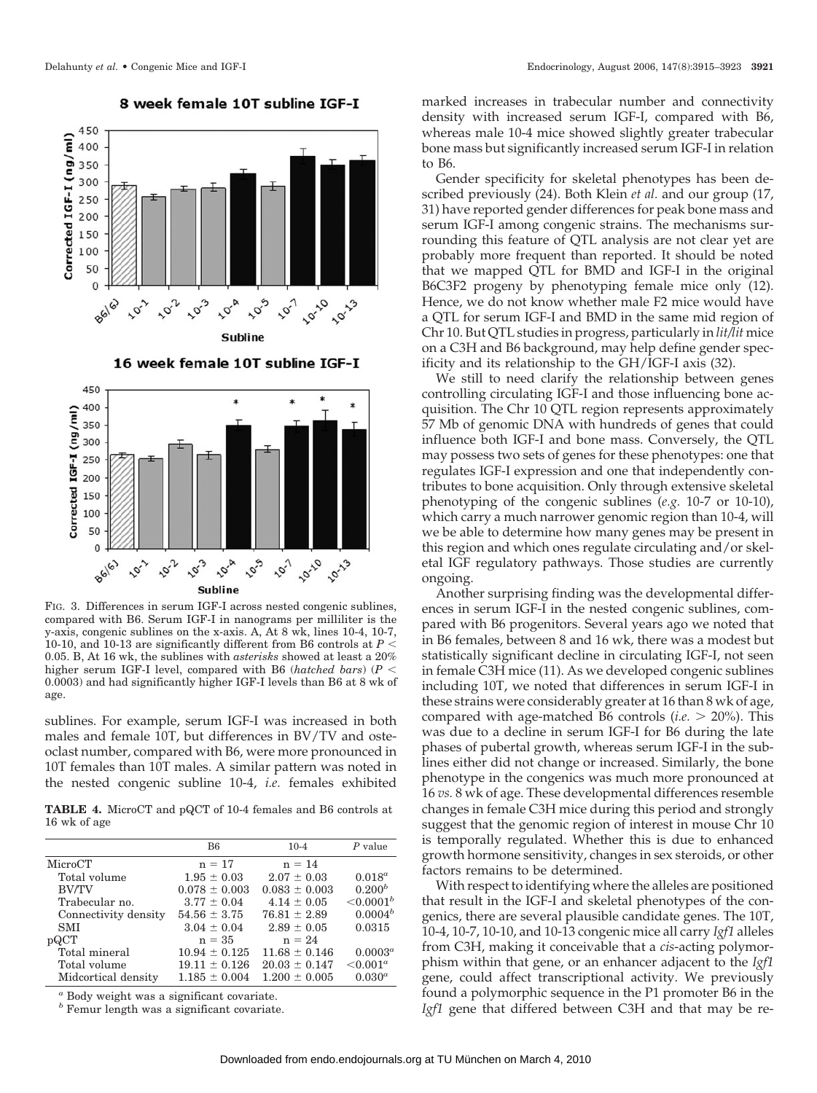

8 week female 10T subline IGF-I



FIG. 3. Differences in serum IGF-I across nested congenic sublines, compared with B6. Serum IGF-I in nanograms per milliliter is the y-axis, congenic sublines on the x-axis. A, At 8 wk, lines 10-4, 10-7, 10-10, and 10-13 are significantly different from B6 controls at *P* 0.05. B, At 16 wk, the sublines with *asterisks* showed at least a 20% higher serum IGF-I level, compared with B6 (*hatched bars*) (*P* 0.0003) and had significantly higher IGF-I levels than B6 at 8 wk of age.

sublines. For example, serum IGF-I was increased in both males and female 10T, but differences in BV/TV and osteoclast number, compared with B6, were more pronounced in 10T females than 10T males. A similar pattern was noted in the nested congenic subline 10-4, *i.e.* females exhibited

**TABLE 4.** MicroCT and pQCT of 10-4 females and B6 controls at 16 wk of age

|                      | B6                | $10-4$            | $P$ value     |
|----------------------|-------------------|-------------------|---------------|
| MicroCT              | $n = 17$          | $n = 14$          |               |
| Total volume         | $1.95 \pm 0.03$   | $2.07 \pm 0.03$   | $0.018^a$     |
| <b>BV/TV</b>         | $0.078 \pm 0.003$ | $0.083 \pm 0.003$ | $0.200^{b}$   |
| Trabecular no.       | $3.77 \pm 0.04$   | $4.14 \pm 0.05$   | ${<}0.0001^b$ |
| Connectivity density | $54.56 \pm 3.75$  | $76.81 \pm 2.89$  | $0.0004^b$    |
| <b>SMI</b>           | $3.04 \pm 0.04$   | $2.89 \pm 0.05$   | 0.0315        |
| pQCT                 | $n = 35$          | $n = 24$          |               |
| Total mineral        | $10.94 \pm 0.125$ | $11.68 \pm 0.146$ | $0.0003^a$    |
| Total volume         | $19.11 \pm 0.126$ | $20.03 \pm 0.147$ | $< 0.001^a$   |
| Midcortical density  | $1.185 \pm 0.004$ | $1.200 \pm 0.005$ | $0.030^{a}$   |
|                      |                   |                   |               |

*<sup>a</sup>* Body weight was a significant covariate.

*<sup>b</sup>* Femur length was a significant covariate.

marked increases in trabecular number and connectivity density with increased serum IGF-I, compared with B6, whereas male 10-4 mice showed slightly greater trabecular bone mass but significantly increased serum IGF-I in relation to B6.

Gender specificity for skeletal phenotypes has been described previously (24). Both Klein *et al.* and our group (17, 31) have reported gender differences for peak bone mass and serum IGF-I among congenic strains. The mechanisms surrounding this feature of QTL analysis are not clear yet are probably more frequent than reported. It should be noted that we mapped QTL for BMD and IGF-I in the original B6C3F2 progeny by phenotyping female mice only (12). Hence, we do not know whether male F2 mice would have a QTL for serum IGF-I and BMD in the same mid region of Chr 10. But QTL studies in progress, particularly in *lit/lit* mice on a C3H and B6 background, may help define gender specificity and its relationship to the GH/IGF-I axis (32).

We still to need clarify the relationship between genes controlling circulating IGF-I and those influencing bone acquisition. The Chr 10 QTL region represents approximately 57 Mb of genomic DNA with hundreds of genes that could influence both IGF-I and bone mass. Conversely, the QTL may possess two sets of genes for these phenotypes: one that regulates IGF-I expression and one that independently contributes to bone acquisition. Only through extensive skeletal phenotyping of the congenic sublines (*e.g.* 10-7 or 10-10), which carry a much narrower genomic region than 10-4, will we be able to determine how many genes may be present in this region and which ones regulate circulating and/or skeletal IGF regulatory pathways. Those studies are currently ongoing.

Another surprising finding was the developmental differences in serum IGF-I in the nested congenic sublines, compared with B6 progenitors. Several years ago we noted that in B6 females, between 8 and 16 wk, there was a modest but statistically significant decline in circulating IGF-I, not seen in female C3H mice (11). As we developed congenic sublines including 10T, we noted that differences in serum IGF-I in these strains were considerably greater at 16 than 8 wk of age, compared with age-matched B6 controls (*i.e.* 20%). This was due to a decline in serum IGF-I for B6 during the late phases of pubertal growth, whereas serum IGF-I in the sublines either did not change or increased. Similarly, the bone phenotype in the congenics was much more pronounced at 16 *vs.* 8 wk of age. These developmental differences resemble changes in female C3H mice during this period and strongly suggest that the genomic region of interest in mouse Chr 10 is temporally regulated. Whether this is due to enhanced growth hormone sensitivity, changes in sex steroids, or other factors remains to be determined.

With respect to identifying where the alleles are positioned that result in the IGF-I and skeletal phenotypes of the congenics, there are several plausible candidate genes. The 10T, 10-4, 10-7, 10-10, and 10-13 congenic mice all carry *Igf1* alleles from C3H, making it conceivable that a *cis*-acting polymorphism within that gene, or an enhancer adjacent to the *Igf1* gene, could affect transcriptional activity. We previously found a polymorphic sequence in the P1 promoter B6 in the *Igf1* gene that differed between C3H and that may be re-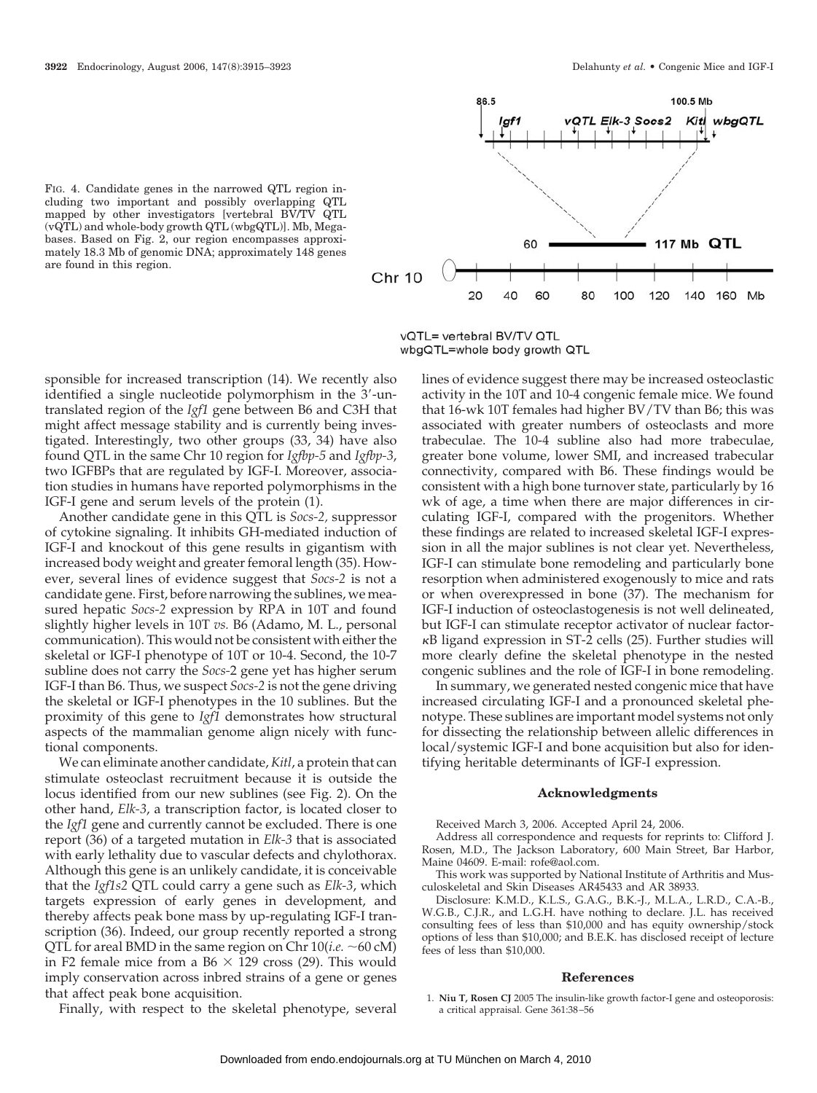



vQTL= vertebral BV/TV QTL wbgQTL=whole body growth QTL

sponsible for increased transcription (14). We recently also identified a single nucleotide polymorphism in the 3'-untranslated region of the *Igf1* gene between B6 and C3H that might affect message stability and is currently being investigated. Interestingly, two other groups (33, 34) have also found QTL in the same Chr 10 region for *Igfbp-5* and *Igfbp-3*, two IGFBPs that are regulated by IGF-I. Moreover, association studies in humans have reported polymorphisms in the IGF-I gene and serum levels of the protein (1).

Another candidate gene in this QTL is *Socs-2,* suppressor of cytokine signaling. It inhibits GH-mediated induction of IGF-I and knockout of this gene results in gigantism with increased body weight and greater femoral length (35). However, several lines of evidence suggest that *Socs-2* is not a candidate gene. First, before narrowing the sublines, we measured hepatic *Socs-2* expression by RPA in 10T and found slightly higher levels in 10T *vs.* B6 (Adamo, M. L., personal communication). This would not be consistent with either the skeletal or IGF-I phenotype of 10T or 10-4. Second, the 10-7 subline does not carry the *Socs-*2 gene yet has higher serum IGF-I than B6. Thus, we suspect *Socs-2* is not the gene driving the skeletal or IGF-I phenotypes in the 10 sublines. But the proximity of this gene to *Igf1* demonstrates how structural aspects of the mammalian genome align nicely with functional components.

We can eliminate another candidate, *Kitl*, a protein that can stimulate osteoclast recruitment because it is outside the locus identified from our new sublines (see Fig. 2). On the other hand, *Elk-3*, a transcription factor, is located closer to the *Igf1* gene and currently cannot be excluded. There is one report (36) of a targeted mutation in *Elk-3* that is associated with early lethality due to vascular defects and chylothorax. Although this gene is an unlikely candidate, it is conceivable that the *Igf1s2* QTL could carry a gene such as *Elk-3*, which targets expression of early genes in development, and thereby affects peak bone mass by up-regulating IGF-I transcription (36). Indeed, our group recently reported a strong QTL for areal BMD in the same region on Chr  $10(i.e. ~ 60 \text{ cM})$ in F2 female mice from a B6  $\times$  129 cross (29). This would imply conservation across inbred strains of a gene or genes that affect peak bone acquisition.

lines of evidence suggest there may be increased osteoclastic activity in the 10T and 10-4 congenic female mice. We found that 16-wk 10T females had higher BV/TV than B6; this was associated with greater numbers of osteoclasts and more trabeculae. The 10-4 subline also had more trabeculae, greater bone volume, lower SMI, and increased trabecular connectivity, compared with B6. These findings would be consistent with a high bone turnover state, particularly by 16 wk of age, a time when there are major differences in circulating IGF-I, compared with the progenitors. Whether these findings are related to increased skeletal IGF-I expression in all the major sublines is not clear yet. Nevertheless, IGF-I can stimulate bone remodeling and particularly bone resorption when administered exogenously to mice and rats or when overexpressed in bone (37). The mechanism for IGF-I induction of osteoclastogenesis is not well delineated, but IGF-I can stimulate receptor activator of nuclear factor- B ligand expression in ST-2 cells (25). Further studies will more clearly define the skeletal phenotype in the nested congenic sublines and the role of IGF-I in bone remodeling.

In summary, we generated nested congenic mice that have increased circulating IGF-I and a pronounced skeletal phenotype. These sublines are important model systems not only for dissecting the relationship between allelic differences in local/systemic IGF-I and bone acquisition but also for identifying heritable determinants of IGF-I expression.

#### **Acknowledgments**

Received March 3, 2006. Accepted April 24, 2006.

Address all correspondence and requests for reprints to: Clifford J. Rosen, M.D., The Jackson Laboratory, 600 Main Street, Bar Harbor, Maine 04609. E-mail: rofe@aol.com.

This work was supported by National Institute of Arthritis and Musculoskeletal and Skin Diseases AR45433 and AR 38933.

Disclosure: K.M.D., K.L.S., G.A.G., B.K.-J., M.L.A., L.R.D., C.A.-B., W.G.B., C.J.R., and L.G.H. have nothing to declare. J.L. has received consulting fees of less than \$10,000 and has equity ownership/stock options of less than \$10,000; and B.E.K. has disclosed receipt of lecture fees of less than \$10,000.

#### **References**

1. **Niu T, Rosen CJ** 2005 The insulin-like growth factor-I gene and osteoporosis: a critical appraisal. Gene 361:38 –56

Finally, with respect to the skeletal phenotype, several